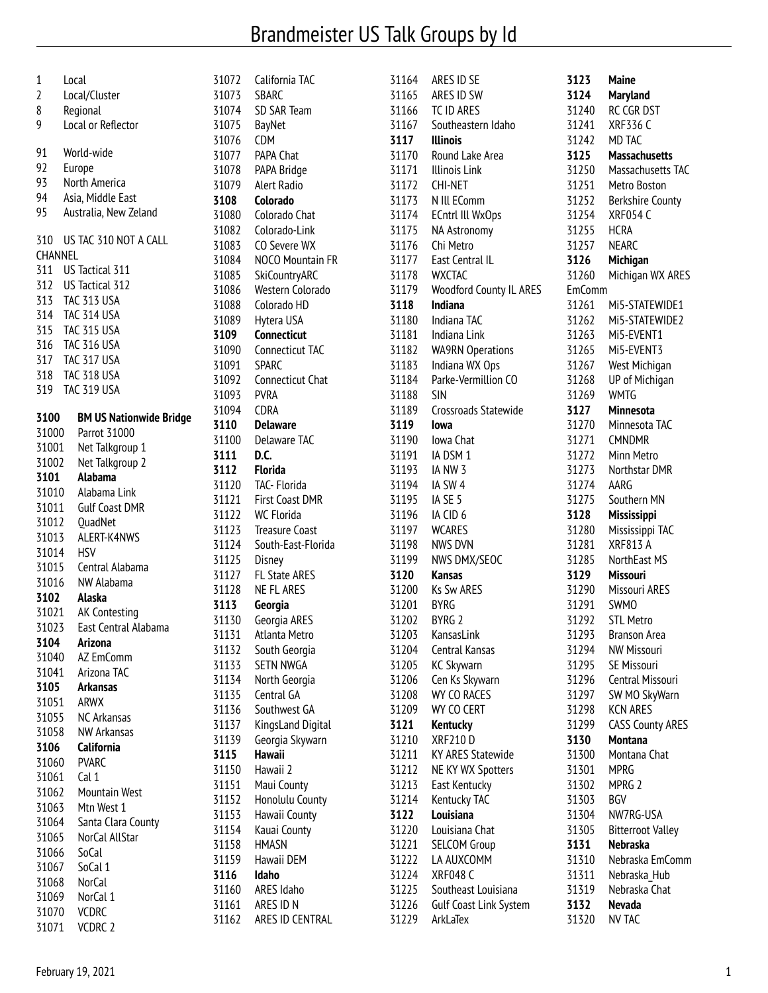## Brandmeister US Talk Groups by Id

| 1<br>2<br>8<br>9                                                        | Local<br>Local/Cluster<br>Regional<br>Local or Reflector                                                                                                                                                              |
|-------------------------------------------------------------------------|-----------------------------------------------------------------------------------------------------------------------------------------------------------------------------------------------------------------------|
| 91<br>92<br>93<br>94<br>95                                              | World-wide<br>Europe<br>North America<br>Asia, Middle East<br>Australia, New Zeland                                                                                                                                   |
| 310<br>CHANNEL<br>311<br>312<br>313<br>315<br>316<br>318<br>319<br>3100 | US TAC 310 NOT A CALL<br>US Tactical 311<br>US Tactical 312<br>TAC 313 USA<br>314 TAC 314 USA<br>TAC 315 USA<br>TAC 316 USA<br>317 TAC 317 USA<br>TAC 318 USA<br><b>TAC 319 USA</b><br><b>BM US Nationwide Bridge</b> |
| 31000                                                                   | Parrot 31000                                                                                                                                                                                                          |
| 31001                                                                   | Net Talkgroup 1                                                                                                                                                                                                       |
| 31002                                                                   | Net Talkgroup 2                                                                                                                                                                                                       |
| 3101                                                                    | Alabama                                                                                                                                                                                                               |
| 31010                                                                   | Alabama Link                                                                                                                                                                                                          |
| 31011                                                                   | <b>Gulf Coast DMR</b>                                                                                                                                                                                                 |
| 31012                                                                   | QuadNet                                                                                                                                                                                                               |
| 31013                                                                   | ALERT-K4NWS                                                                                                                                                                                                           |
| 31014                                                                   | HSV                                                                                                                                                                                                                   |
| 31015                                                                   | Central Alabama                                                                                                                                                                                                       |
| 31016                                                                   | NW Alabama                                                                                                                                                                                                            |
| 3102                                                                    | Alaska                                                                                                                                                                                                                |
| 31021                                                                   | AK Contesting                                                                                                                                                                                                         |
| 31023                                                                   | East Central Alabama                                                                                                                                                                                                  |
| 3104                                                                    | Arizona                                                                                                                                                                                                               |
| 31040                                                                   | AZ EmComm                                                                                                                                                                                                             |
| 31041                                                                   | Arizona TAC                                                                                                                                                                                                           |
| 3105<br>31051                                                           | <b>Arkansas</b><br>ARWX                                                                                                                                                                                               |
| 31055                                                                   | <b>NC Arkansas</b>                                                                                                                                                                                                    |
| 31058                                                                   | <b>NW Arkansas</b>                                                                                                                                                                                                    |
| 3106                                                                    | <b>California</b>                                                                                                                                                                                                     |
| 31060                                                                   | <b>PVARC</b>                                                                                                                                                                                                          |
| 31061                                                                   | Cal 1                                                                                                                                                                                                                 |
| 31062                                                                   | <b>Mountain West</b>                                                                                                                                                                                                  |
| 31063                                                                   | Mtn West 1                                                                                                                                                                                                            |
| 31064                                                                   | Santa Clara County                                                                                                                                                                                                    |
| 31065                                                                   | NorCal AllStar                                                                                                                                                                                                        |
| 31066                                                                   | SoCal                                                                                                                                                                                                                 |
| 31067                                                                   | SoCal 1                                                                                                                                                                                                               |
| 31068                                                                   | <b>NorCal</b>                                                                                                                                                                                                         |
| 31069                                                                   | NorCal 1                                                                                                                                                                                                              |
| 31070                                                                   | <b>VCDRC</b>                                                                                                                                                                                                          |
| 31071                                                                   | VCDRC 2                                                                                                                                                                                                               |

| 31072          |                              |
|----------------|------------------------------|
|                | California TAC               |
| 31073          | <b>SBARC</b>                 |
|                |                              |
| 31074          | SD SAR Team                  |
| 31075          | <b>BayNet</b>                |
|                |                              |
| 31076          | <b>CDM</b>                   |
| 31077          | PAPA Chat                    |
| 31078          |                              |
|                | PAPA Bridge                  |
| 31079          | Alert Radio                  |
| 3108           | Colorado                     |
|                |                              |
| 31080          | Colorado Chat                |
| 31082          | Colorado-Link                |
| 31083          | CO Severe WX                 |
|                |                              |
| 31084          | NOCO Mountain FR             |
| 31085          | SkiCountryARC                |
|                |                              |
| 31086          | Western Colorado             |
| 31088          | Colorado HD                  |
| 31089          | Hytera USA                   |
|                |                              |
| 3109           | <b>Connecticut</b>           |
| 31090          | Connecticut TAC              |
|                |                              |
| 31091          | Sparc                        |
| 31092          | Connecticut Chat             |
| 31093          | pvra                         |
|                |                              |
| 31094          | CDRA                         |
| 3110           | Delaware                     |
|                |                              |
| 31100          | Delaware TAC                 |
| 3111           | D.C.                         |
| 3112           | <b>Florida</b>               |
|                |                              |
| 31120          | TAC- Florida                 |
| 31121          | First Coast DMR              |
|                | <b>WC Florida</b>            |
| 31122          |                              |
| 31123          | <b>Treasure Coast</b>        |
| 31124          | South-East-Florida           |
|                |                              |
| 31125          | Disney                       |
| 31127          | FL State ARES                |
|                |                              |
|                |                              |
| 31128          | NE FL ARES                   |
| 3113           | Georgia                      |
|                |                              |
| 31130          | Georgia ARES                 |
| 31131          | Atlanta Metro                |
| 31132          | South Georgia                |
|                |                              |
| 31133          | <b>SETN NWGA</b>             |
| 31134          | North Georgia                |
| 31135          | Central GA                   |
|                |                              |
| 31136          | Southwest GA                 |
| 31137          | KingsLand Digital            |
|                |                              |
| 31139          | Georgia Skywarn              |
| 3115           | <b>Hawaii</b>                |
| 31150          | Hawaii 2                     |
|                |                              |
| 31151          | Maui County                  |
| 31152          | Honolulu County              |
| 31153          |                              |
|                | Hawaii County                |
| 31154          | Kauai County                 |
| 31158          | <b>HMASN</b>                 |
|                |                              |
| 31159          | Hawaii DEM                   |
| 3116           | Idaho                        |
| 31160          | ARES Idaho                   |
|                |                              |
| 31161<br>31162 | ARES ID N<br>ARES ID CENTRAL |

| 31164          | ARES ID SE                                 | 312        |
|----------------|--------------------------------------------|------------|
|                | 31165 ARES ID SW                           | 312        |
|                | 31166 TC ID ARES                           | 312        |
|                | 31167 Southeastern Idaho                   | 312        |
| 3117           | <b>Illinois</b>                            | 312        |
| 31170          | Round Lake Area                            | 312        |
| 31171          | Illinois Link                              | 312        |
| 31172          | CHI-NET                                    | 312        |
|                | 31173 N Ill EComm                          | 312        |
|                | 31174 ECntrl III WxOps                     | 312        |
| 31175          | NA Astronomy                               | 312        |
| 31176          | Chi Metro                                  | 312        |
|                | 31177 East Central IL                      | 312        |
| 31178          | <b>WXCTAC</b>                              | 312        |
| 31179          | Woodford County IL ARES                    | Em(        |
| 3118           | Indiana                                    | 312        |
|                | 31180 Indiana TAC                          | 312        |
|                | 31181 Indiana Link                         | 312        |
| 31182          | <b>WA9RN Operations</b>                    | 312        |
| 31183          | Indiana WX Ops                             | 312        |
| 31184          | Parke-Vermillion CO                        | 312        |
| 31188          | SIN                                        | 312        |
| 31189          | Crossroads Statewide                       | 312        |
| 3119           | Iowa                                       | 312        |
| 31190          | lowa Chat                                  | 312        |
|                | 31191 IA DSM 1                             | 312        |
|                | 31193 IA NW 3                              | 312        |
|                | 31194 IA SW 4                              | 312        |
|                | 31195 IA SE 5                              | 312        |
|                | 31196 IA CID 6                             | 312        |
|                | 31197 WCARES                               | 312        |
|                | 31198 NWS DVN                              | 312        |
|                | 31199 NWS DMX/SEOC                         | 312        |
| 3120           | Kansas                                     | 312        |
|                | 31200 Ks Sw ARES                           | 312        |
| 31201 BYRG     |                                            | 312        |
| 31202          | BYRG 2                                     | 312        |
| 31203          | KansasLink                                 | 312        |
| 31204          | Central Kansas                             | 312        |
| 31205          | <b>KC Skywarn</b>                          | 312        |
| 31206          | Cen Ks Skywarn                             | 312        |
| 31208          | WY CO RACES                                | 312        |
| 31209          | WY CO CERT                                 | 312        |
| 3121           | <b>Kentucky</b>                            | 312        |
| 31210          | <b>XRF210D</b><br><b>KY ARES Statewide</b> | 313<br>313 |
| 31211          |                                            |            |
| 31212<br>31213 | NE KY WX Spotters<br>East Kentucky         | 313<br>313 |
| 31214          | Kentucky TAC                               | 313        |
| 3122           | Louisiana                                  | 313        |
| 31220          | Louisiana Chat                             | 313        |
| 31221          | <b>SELCOM Group</b>                        | 313        |
| 31222          | LA AUXCOMM                                 | 313        |
| 31224          | <b>XRF048 C</b>                            | 313        |
| 31225          | Southeast Louisiana                        | 313        |
| 31226          | Gulf Coast Link System                     | 313        |
| 31229          | ArkLaTex                                   | 313        |
|                |                                            |            |

| 3123           | Maine                          |
|----------------|--------------------------------|
| 3124           | <b>Maryland</b>                |
| 31240          | RC CGR DST                     |
| 31241          | <b>XRF336 C</b>                |
| 31242          | MD TAC                         |
| 3125           | <b>Massachusetts</b>           |
| 31250          | Massachusetts TAC              |
| 31251          | Metro Boston                   |
| 31252          | <b>Berkshire County</b>        |
| 31254          | <b>XRF054 C</b><br><b>HCRA</b> |
| 31255<br>31257 | <b>NEARC</b>                   |
| 3126           |                                |
| 31260          | Michigan<br>Michigan WX ARES   |
| EmComm         |                                |
| 31261          | Mi5-STATEWIDE1                 |
| 31262          | Mi5-STATEWIDE2                 |
| 31263          | Mi5-EVENT1                     |
| 31265          | Mi5-EVENT3                     |
| 31267          | West Michigan                  |
| 31268          | UP of Michigan                 |
| 31269          | <b>WMTG</b>                    |
| 3127           | Minnesota                      |
| 31270          | Minnesota TAC                  |
| 31271          | <b>CMNDMR</b>                  |
| 31272          | Minn Metro                     |
| 31273          | Northstar DMR                  |
| 31274          | AARG                           |
| 31275          | Southern MN                    |
| 3128           | <b>Mississippi</b>             |
| 31280          | Mississippi TAC                |
| 31281          | <b>XRF813 A</b>                |
| 31285          | NorthEast MS                   |
| 3129           | <b>Missouri</b>                |
| 31290          | Missouri ARES                  |
| 31291          | <b>SWMO</b>                    |
| 31292          | <b>STL Metro</b>               |
| 31293          | <b>Branson Area</b>            |
| 31294          | <b>NW Missouri</b>             |
| 31295          | SE Missouri                    |
| 31296          | Central Missouri               |
| 31297          | SW MO SkyWarn                  |
| 31298          | <b>KCN ARES</b>                |
| 31299          | <b>CASS County ARES</b>        |
| 3130           | Montana                        |
| 31300          | Montana Chat                   |
| 31301          | <b>MPRG</b>                    |
| 31302          | MPRG <sub>2</sub>              |
| 31303          | BGV                            |
| 31304          | NW7RG-USA                      |
| 31305          | <b>Bitterroot Valley</b>       |
| 3131           | <b>Nebraska</b>                |
| 31310          | Nebraska EmComm                |
| 31311          | Nebraska Hub                   |
| 31319          | Nebraska Chat                  |
| 3132           | <b>Nevada</b>                  |
| 31320          | <b>NV TAC</b>                  |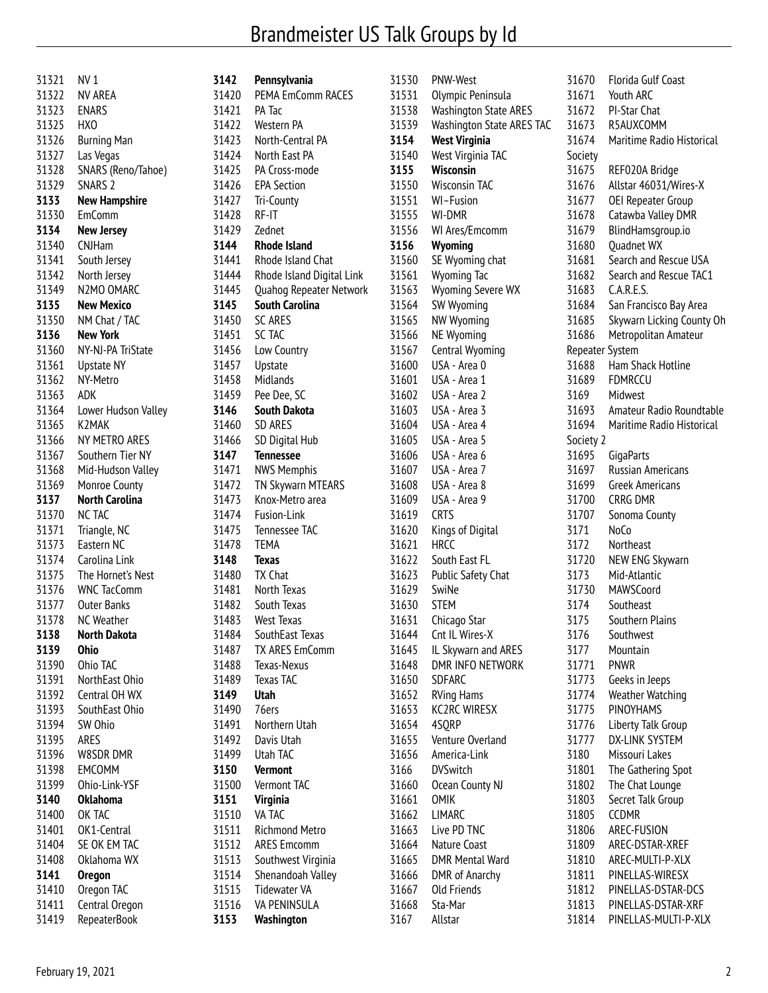## Brandmeister US Talk Groups by Id

| SNARS (Reno/Tahoe)  |
|---------------------|
|                     |
|                     |
|                     |
|                     |
|                     |
|                     |
|                     |
|                     |
|                     |
|                     |
|                     |
|                     |
|                     |
|                     |
|                     |
|                     |
|                     |
|                     |
|                     |
|                     |
|                     |
|                     |
|                     |
| Lower Hudson Valley |
|                     |
|                     |
|                     |
| Mid-Hudson Valley   |
|                     |
|                     |
|                     |
|                     |
|                     |
|                     |
|                     |
|                     |
|                     |
|                     |
|                     |
|                     |
|                     |
|                     |
|                     |
|                     |
|                     |
|                     |
|                     |
|                     |
|                     |
|                     |
|                     |
|                     |
|                     |
|                     |
|                     |
|                     |
|                     |
|                     |
|                     |

| 3142           | Pennsylvania                        |
|----------------|-------------------------------------|
| 31420          | PEMA EmComm RACES                   |
| 31421          | PA Tac                              |
| 31422          | Western PA                          |
| 31423          | North-Central PA                    |
| 31424          | North East PA                       |
| 31425          | PA Cross-mode                       |
| 31426          | <b>EPA Section</b>                  |
| 31427          | Tri-County                          |
| 31428          | RF-IT                               |
| 31429          | Zednet                              |
| 3144           | <b>Rhode Island</b>                 |
| 31441          | Rhode Island Chat                   |
| 31444          | Rhode Island Digital Link           |
| 31445          | Quahog Repeater Network             |
| 3145           | <b>South Carolina</b>               |
| 31450          | <b>SC ARES</b>                      |
| 31451          | SC TAC                              |
| 31456          | Low Country                         |
| 31457          | Upstate                             |
| 31458          | Midlands                            |
| 31459          | Pee Dee, SC                         |
| 3146           | <b>South Dakota</b>                 |
| 31460          | SD ARES                             |
| 31466          | SD Digital Hub                      |
| 3147           | <b>Tennessee</b>                    |
| 31471          | <b>NWS Memphis</b>                  |
| 31472          | TN Skywarn MTEARS                   |
| 31473          | Knox-Metro area                     |
| 31474          | Fusion-Link                         |
| 31475          | Tennessee TAC                       |
| 31478          | <b>TEMA</b>                         |
| 3148           | <b>Texas</b>                        |
| 31480          | <b>TX Chat</b>                      |
| 31481          | North Texas                         |
| 31482          | South Texas                         |
| 31483          | <b>West Texas</b>                   |
| 31484          | SouthEast Texas                     |
| 31487          | <b>TX ARES EmComm</b>               |
| 31488          | Texas-Nexus                         |
| 31489          | Texas TAC                           |
| 3149           | Utah                                |
| 31490          | 76ers                               |
| 31491          | Northern Utah                       |
| 31492          | Davis Utah                          |
| 31499          | Utah TAC                            |
| 3150           | <b>Vermont</b>                      |
| 31500          | Vermont TAC                         |
| 3151           | Virginia                            |
| 31510          | VA TAC                              |
| 31511          | <b>Richmond Metro</b>               |
| 31512          | <b>ARES Emcomm</b>                  |
| 31513          | Southwest Virginia                  |
| 31514          | Shenandoah Valley                   |
| 31515<br>31516 | <b>Tidewater VA</b><br>VA PENINSULA |
| 3153           | Washington                          |
|                |                                     |

| 31530          | <b>PNW-West</b>                  |
|----------------|----------------------------------|
| 31531          | Olympic Peninsula                |
| 31538          | <b>Washington State ARES</b>     |
| 31539          | <b>Washington State ARES TAC</b> |
| 3154           | <b>West Virginia</b>             |
| 31540          | West Virginia TAC                |
| 3155           | <b>Wisconsin</b>                 |
| 31550          | <b>Wisconsin TAC</b>             |
| 31551          | WI-Fusion                        |
| 31555          | WI-DMR                           |
| 31556          | WI Ares/Emcomm                   |
| 3156           | Wyoming                          |
| 31560          | SE Wyoming chat                  |
| 31561          | <b>Wyoming Tac</b>               |
| 31563          | Wyoming Severe WX                |
| 31564          | SW Wyoming                       |
| 31565          | NW Wyoming                       |
| 31566          | <b>NE Wyoming</b>                |
| 31567          | Central Wyoming                  |
| 31600          | USA - Area 0                     |
| 31601          | USA - Area 1                     |
| 31602          | USA - Area 2                     |
| 31603          | USA - Area 3<br>USA - Area 4     |
| 31604          | USA - Area 5                     |
| 31605          | USA - Area 6                     |
| 31606          | USA - Area 7                     |
| 31607<br>31608 | USA - Area 8                     |
| 31609          | USA - Area 9                     |
| 31619          | <b>CRTS</b>                      |
| 31620          | Kings of Digital                 |
| 31621          | <b>HRCC</b>                      |
| 31622          | South East FL                    |
| 31623          | Public Safety Chat               |
| 31629          | SwiNe                            |
| 31630 STEM     |                                  |
| 31631          | Chicago Star                     |
| 31644          | Cnt IL Wires-X                   |
| 31645          | IL Skywarn and ARES              |
| 31648          | <b>DMR INFO NETWORK</b>          |
| 31650          | SDFARC                           |
| 31652          | <b>RVing Hams</b>                |
| 31653          | <b>KC2RC WIRESX</b>              |
| 31654          | 4SQRP                            |
| 31655          | Venture Overland                 |
| 31656          | America-Link                     |
| 3166           | <b>DVSwitch</b>                  |
| 31660          | Ocean County NJ                  |
| 31661          | OMIK                             |
| 31662          | LIMARC                           |
| 31663          | Live PD TNC                      |
| 31664          | Nature Coast                     |
| 31665          | <b>DMR Mental Ward</b>           |
| 31666          | <b>DMR</b> of Anarchy            |
| 31667          | <b>Old Friends</b>               |
| 31668          | Sta-Mar                          |
| 3167           | Allstar                          |

| 31670           | Florida Gulf Coast                        |
|-----------------|-------------------------------------------|
| 31671           | Youth ARC                                 |
| 31672           | PI-Star Chat                              |
| 31673           | R5AUXCOMM                                 |
| 31674           | Maritime Radio Historical                 |
| Society         |                                           |
| 31675           | REF020A Bridge                            |
| 31676           | Allstar 46031/Wires-X                     |
| 31677           | OEI Repeater Group                        |
| 31678           | Catawba Valley DMR                        |
| 31679           | BlindHamsgroup.io                         |
| 31680           | <b>Quadnet WX</b>                         |
| 31681           | Search and Rescue USA                     |
| 31682           | Search and Rescue TAC1                    |
| 31683           | C.A.R.E.S.                                |
| 31684           | San Francisco Bay Area                    |
| 31685           | Skywarn Licking County Oh                 |
| 31686           | Metropolitan Amateur                      |
| Repeater System |                                           |
| 31688           | Ham Shack Hotline                         |
| 31689           | <b>FDMRCCU</b>                            |
| 3169            | Midwest                                   |
| 31693           | Amateur Radio Roundtable                  |
| 31694           | Maritime Radio Historical                 |
| Society 2       |                                           |
| 31695           | GigaParts                                 |
| 31697           | <b>Russian Americans</b>                  |
| 31699           | <b>Greek Americans</b>                    |
| 31700           | <b>CRRG DMR</b>                           |
| 31707           | Sonoma County                             |
| 3171            | NoCo                                      |
| 3172            | Northeast                                 |
| 31720           | <b>NEW ENG Skywarn</b>                    |
| 3173            | Mid-Atlantic                              |
| 31730           | <b>MAWSCoord</b>                          |
| 3174            | Southeast                                 |
| 3175            | Southern Plains                           |
| 3176            | Southwest                                 |
| 3177            | Mountain                                  |
| 31771           | pnwr                                      |
| 31773           |                                           |
| 31774           | Geeks in Jeeps<br><b>Weather Watching</b> |
| 31775           | PINOYHAMS                                 |
| 31776           | Liberty Talk Group                        |
| 31777           | DX-LINK SYSTEM                            |
|                 | Missouri Lakes                            |
| 3180            |                                           |
| 31801           | The Gathering Spot                        |
| 31802           | The Chat Lounge                           |
| 31803           | Secret Talk Group                         |
| 31805           | CCDMR                                     |
| 31806           | AREC-FUSION                               |
| 31809           | AREC-DSTAR-XREF                           |
| 31810           | AREC-MULTI-P-XLX                          |
| 31811           | PINELLAS-WIRESX                           |
| 31812           | PINELLAS-DSTAR-DCS                        |
| 31813           | PINELLAS-DSTAR-XRF                        |
| 31814           | PINELLAS-MULTI-P-XLX                      |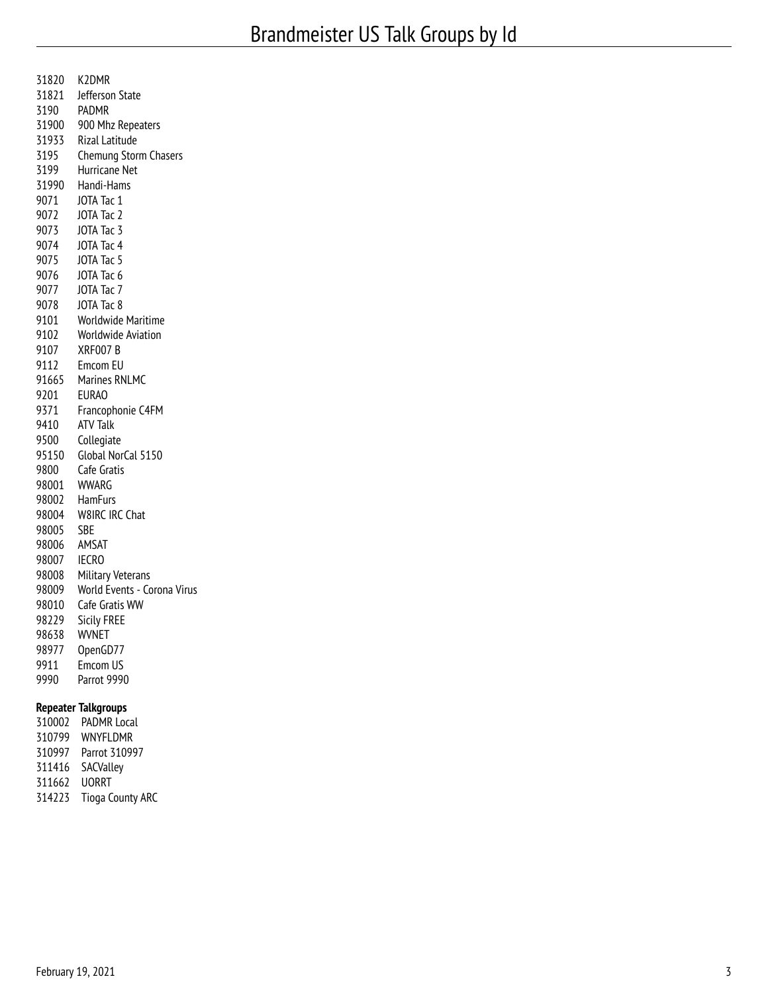| 98007<br>98008 | <b>IECRO</b><br>Military Veterans    |
|----------------|--------------------------------------|
| 98006          | AMSAT                                |
| 98004<br>98005 | W8IRC IRC Chat<br>SBE                |
| 98002          | HamFurs                              |
| 9800<br>98001  | Cafe Gratis<br><b>WWARG</b>          |
| 95150          | Global NorCal 5150                   |
| 9500           | Collegiate                           |
| 9371<br>9410   | Francophonie C4FM<br><b>ATV Talk</b> |
| 9201           | <b>EURAO</b>                         |
|                | 91665 Marines RNLMC                  |
| 9112           | Emcom EU                             |
| 9107           | XRF007B                              |
| 9102           | <b>Worldwide Aviation</b>            |
| 9101           | Worldwide Maritime                   |
| 9078           | JOTA Tac 8                           |
| 9077           | JOTA Tac 7                           |
| 9076           | JOTA Tac 6                           |
| 9075           | JOTA Tac 5                           |
| 9073<br>9074   | JOTA Tac 3<br>JOTA Tac 4             |
| 9072           | JOTA Tac 2                           |
| 9071           | JOTA Tac 1                           |
| 31990          | Handi-Hams                           |
| 3199           | Hurricane Net                        |
| 3195           | Chemung Storm Chasers                |
| 31933          | <b>Rizal Latitude</b>                |
| 31900          | 900 Mhz Repeaters                    |
| 3190           | PADMR                                |
| 31821          | Jefferson State                      |
| 31820          | K2DMR                                |

| 310002 | <b>PADMR Local</b>      |
|--------|-------------------------|
| 310799 | <b>WNYFLDMR</b>         |
| 310997 | Parrot 310997           |
| 311416 | SACValley               |
| 311662 | <b>UORRT</b>            |
| 314223 | <b>Tioga County ARC</b> |
|        |                         |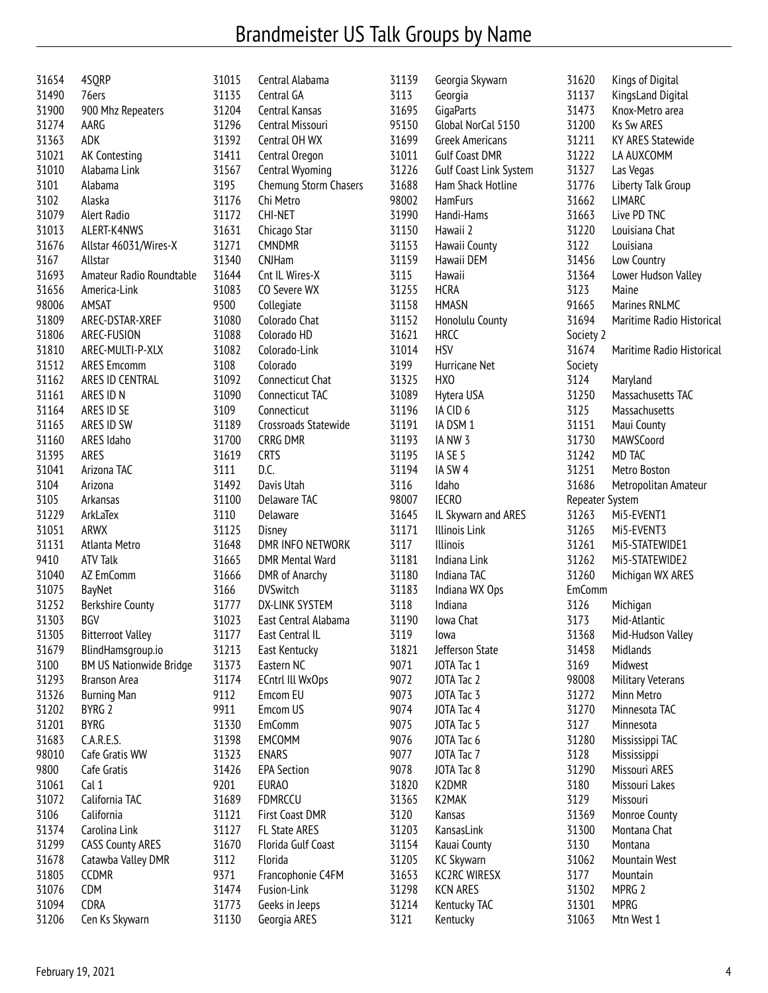## Brandmeister US Talk Groups by Name

| 31654 | 4SQRP                          | 31015 | Central Alabama         | 31139 | Georgia Skywarn               | 31620           | Kings of Digital          |
|-------|--------------------------------|-------|-------------------------|-------|-------------------------------|-----------------|---------------------------|
| 31490 | 76ers                          | 31135 | Central GA              | 3113  | Georgia                       | 31137           | KingsLand Digital         |
| 31900 | 900 Mhz Repeaters              | 31204 | Central Kansas          | 31695 | GigaParts                     | 31473           | Knox-Metro area           |
| 31274 | AARG                           | 31296 | Central Missouri        | 95150 | Global NorCal 5150            | 31200           | Ks Sw ARES                |
| 31363 | ADK                            | 31392 | Central OH WX           | 31699 | <b>Greek Americans</b>        | 31211           | <b>KY ARES Statewide</b>  |
| 31021 | AK Contesting                  | 31411 | Central Oregon          | 31011 | <b>Gulf Coast DMR</b>         | 31222           | LA AUXCOMM                |
| 31010 | Alabama Link                   | 31567 | Central Wyoming         | 31226 | <b>Gulf Coast Link System</b> | 31327           | Las Vegas                 |
| 3101  | Alabama                        | 3195  | Chemung Storm Chasers   | 31688 | Ham Shack Hotline             | 31776           | Liberty Talk Group        |
| 3102  | Alaska                         | 31176 | Chi Metro               | 98002 | <b>HamFurs</b>                | 31662           | <b>LIMARC</b>             |
| 31079 | Alert Radio                    | 31172 | <b>CHI-NET</b>          | 31990 | Handi-Hams                    | 31663           | Live PD TNC               |
| 31013 | ALERT-K4NWS                    | 31631 | Chicago Star            | 31150 | Hawaii 2                      | 31220           | Louisiana Chat            |
| 31676 | Allstar 46031/Wires-X          | 31271 | <b>CMNDMR</b>           | 31153 | Hawaii County                 | 3122            | Louisiana                 |
| 3167  | Allstar                        | 31340 | <b>CNJHam</b>           | 31159 | Hawaii DEM                    | 31456           | Low Country               |
| 31693 | Amateur Radio Roundtable       | 31644 | Cnt IL Wires-X          | 3115  | Hawaii                        | 31364           | Lower Hudson Valley       |
| 31656 | America-Link                   | 31083 | CO Severe WX            | 31255 | <b>HCRA</b>                   | 3123            | Maine                     |
| 98006 | AMSAT                          | 9500  | Collegiate              | 31158 | <b>HMASN</b>                  | 91665           | Marines RNLMC             |
| 31809 | AREC-DSTAR-XREF                | 31080 | Colorado Chat           | 31152 | Honolulu County               | 31694           | Maritime Radio Historical |
| 31806 | AREC-FUSION                    | 31088 | Colorado HD             | 31621 | <b>HRCC</b>                   | Society 2       |                           |
| 31810 | AREC-MULTI-P-XLX               | 31082 | Colorado-Link           | 31014 | <b>HSV</b>                    | 31674           | Maritime Radio Historical |
| 31512 | <b>ARES Emcomm</b>             | 3108  | Colorado                | 3199  | Hurricane Net                 | Society         |                           |
| 31162 | ARES ID CENTRAL                | 31092 | Connecticut Chat        | 31325 | HX <sub>0</sub>               | 3124            | Maryland                  |
| 31161 | ARES ID N                      | 31090 | Connecticut TAC         | 31089 | Hytera USA                    | 31250           | Massachusetts TAC         |
| 31164 | ARES ID SE                     | 3109  | Connecticut             | 31196 | IA CID 6                      | 3125            | Massachusetts             |
| 31165 | ARES ID SW                     | 31189 | Crossroads Statewide    | 31191 | IA DSM 1                      | 31151           | Maui County               |
| 31160 | ARES Idaho                     | 31700 | CRRG DMR                | 31193 | IA NW 3                       | 31730           | MAWSCoord                 |
| 31395 | ARES                           | 31619 | <b>CRTS</b>             | 31195 | IA SE 5                       | 31242           | MD TAC                    |
|       | Arizona TAC                    |       | D.C.                    | 31194 | IA SW 4                       |                 | Metro Boston              |
| 31041 |                                | 3111  |                         |       |                               | 31251           |                           |
| 3104  | Arizona                        | 31492 | Davis Utah              | 3116  | Idaho                         | 31686           | Metropolitan Amateur      |
| 3105  | Arkansas                       | 31100 | Delaware TAC            | 98007 | <b>IECRO</b>                  | Repeater System |                           |
| 31229 | ArkLaTex                       | 3110  | Delaware                | 31645 | IL Skywarn and ARES           | 31263           | Mi5-EVENT1                |
| 31051 | ARWX                           | 31125 | Disney                  | 31171 | <b>Illinois Link</b>          | 31265           | Mi5-EVENT3                |
| 31131 | Atlanta Metro                  | 31648 | DMR INFO NETWORK        | 3117  | Illinois                      | 31261           | MI5-STATEWIDE1            |
| 9410  | <b>ATV Talk</b>                | 31665 | <b>DMR Mental Ward</b>  | 31181 | Indiana Link                  | 31262           | MI5-STATEWIDE2            |
| 31040 | AZ EmComm                      | 31666 | DMR of Anarchy          | 31180 | Indiana TAC                   | 31260           | Michigan WX ARES          |
| 31075 | BayNet                         | 3166  | <b>DVSwitch</b>         | 31183 | Indiana WX Ops                | <b>EmComm</b>   |                           |
| 31252 | <b>Berkshire County</b>        | 31777 | DX-LINK SYSTEM          | 3118  | Indiana                       | 3126            | Michigan                  |
| 31303 | BGV                            | 31023 | East Central Alabama    | 31190 | Iowa Chat                     | 3173            | Mid-Atlantic              |
| 31305 | <b>Bitterroot Valley</b>       | 31177 | East Central IL         | 3119  | lowa                          | 31368           | Mid-Hudson Valley         |
| 31679 | BlindHamsgroup.io              | 31213 | East Kentucky           | 31821 | Jefferson State               | 31458           | Midlands                  |
| 3100  | <b>BM US Nationwide Bridge</b> | 31373 | Eastern NC              | 9071  | JOTA Tac 1                    | 3169            | Midwest                   |
| 31293 | <b>Branson Area</b>            | 31174 | <b>ECntrl III WxOps</b> | 9072  | JOTA Tac 2                    | 98008           | Military Veterans         |
| 31326 | <b>Burning Man</b>             | 9112  | Emcom EU                | 9073  | JOTA Tac 3                    | 31272           | Minn Metro                |
| 31202 | BYRG 2                         | 9911  | Emcom US                | 9074  | JOTA Tac 4                    | 31270           | Minnesota TAC             |
| 31201 | <b>BYRG</b>                    | 31330 | <b>EmComm</b>           | 9075  | JOTA Tac 5                    | 3127            | Minnesota                 |
| 31683 | C.A.R.E.S.                     | 31398 | EMCOMM                  | 9076  | JOTA Tac 6                    | 31280           | Mississippi TAC           |
| 98010 | Cafe Gratis WW                 | 31323 | <b>ENARS</b>            | 9077  | JOTA Tac 7                    | 3128            | Mississippi               |
| 9800  | Cafe Gratis                    | 31426 | <b>EPA Section</b>      | 9078  | JOTA Tac 8                    | 31290           | Missouri ARES             |
| 31061 | Cal 1                          | 9201  | <b>EURAO</b>            | 31820 | K2DMR                         | 3180            | Missouri Lakes            |
| 31072 | California TAC                 | 31689 | <b>FDMRCCU</b>          | 31365 | K2MAK                         | 3129            | Missouri                  |
| 3106  | California                     | 31121 | First Coast DMR         | 3120  | Kansas                        | 31369           | Monroe County             |
| 31374 | Carolina Link                  | 31127 | FL State ARES           | 31203 | KansasLink                    | 31300           | Montana Chat              |
| 31299 | <b>CASS County ARES</b>        | 31670 | Florida Gulf Coast      | 31154 | Kauai County                  | 3130            | Montana                   |
| 31678 | Catawba Valley DMR             | 3112  | Florida                 | 31205 | <b>KC Skywarn</b>             | 31062           | Mountain West             |
| 31805 | <b>CCDMR</b>                   | 9371  | Francophonie C4FM       | 31653 | <b>KC2RC WIRESX</b>           | 3177            | Mountain                  |
| 31076 | <b>CDM</b>                     | 31474 | Fusion-Link             | 31298 | <b>KCN ARES</b>               | 31302           | MPRG 2                    |
| 31094 | <b>CDRA</b>                    | 31773 | Geeks in Jeeps          | 31214 | Kentucky TAC                  | 31301           | <b>MPRG</b>               |
| 31206 | Cen Ks Skywarn                 | 31130 | Georgia ARES            | 3121  | Kentucky                      | 31063           | Mtn West 1                |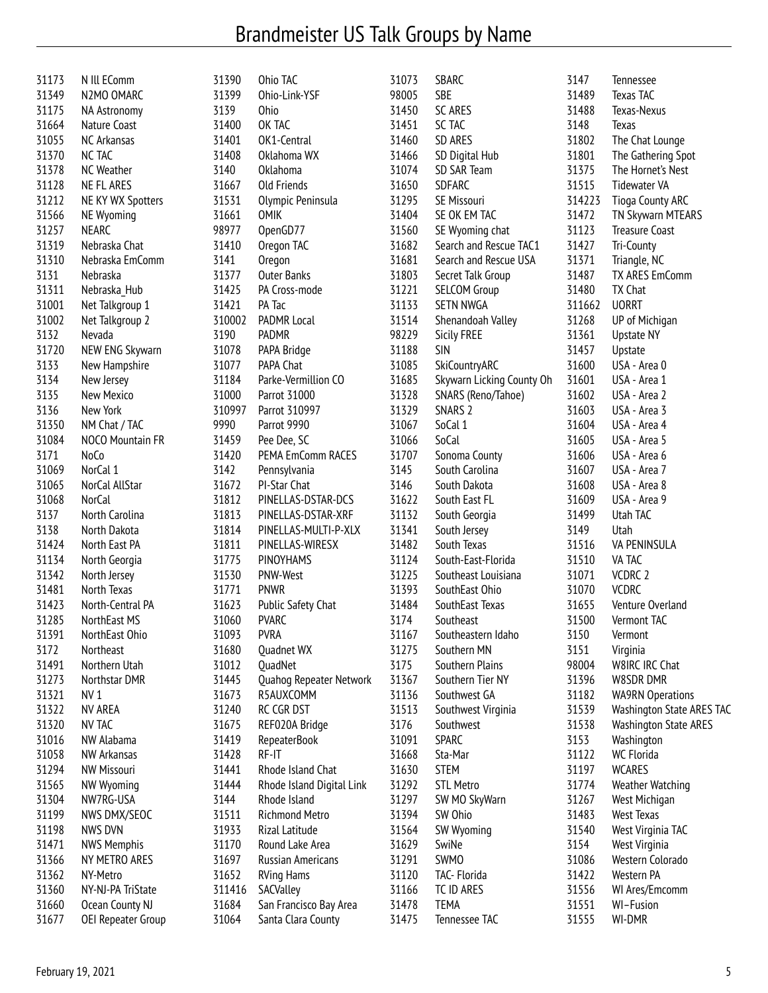## Brandmeister US Talk Groups by Name

| 31173 | N III EComm        | 31390  | Ohio TAC                  | 31073 | SBARC                     | 3147   | Tennessee                    |
|-------|--------------------|--------|---------------------------|-------|---------------------------|--------|------------------------------|
| 31349 | N2MO OMARC         | 31399  | Ohio-Link-YSF             | 98005 | <b>SBE</b>                | 31489  | Texas TAC                    |
| 31175 | NA Astronomy       | 3139   | <b>Ohio</b>               | 31450 | SC ARES                   | 31488  | Texas-Nexus                  |
| 31664 | Nature Coast       | 31400  | OK TAC                    | 31451 | SC TAC                    | 3148   | Texas                        |
| 31055 | NC Arkansas        | 31401  | OK1-Central               | 31460 | SD ARES                   | 31802  | The Chat Lounge              |
| 31370 | NC TAC             | 31408  | Oklahoma WX               | 31466 | SD Digital Hub            | 31801  | The Gathering Spot           |
| 31378 | <b>NC Weather</b>  | 3140   | Oklahoma                  | 31074 | SD SAR Team               | 31375  | The Hornet's Nest            |
| 31128 | NE FL ARES         | 31667  | <b>Old Friends</b>        | 31650 | <b>SDFARC</b>             | 31515  | <b>Tidewater VA</b>          |
| 31212 | NE KY WX Spotters  | 31531  | Olympic Peninsula         | 31295 | SE Missouri               | 314223 | <b>Tioga County ARC</b>      |
| 31566 | NE Wyoming         | 31661  | <b>OMIK</b>               | 31404 | SE OK EM TAC              | 31472  | TN Skywarn MTEARS            |
| 31257 | <b>NEARC</b>       | 98977  | OpenGD77                  | 31560 | SE Wyoming chat           | 31123  | <b>Treasure Coast</b>        |
| 31319 | Nebraska Chat      | 31410  | Oregon TAC                | 31682 | Search and Rescue TAC1    | 31427  | Tri-County                   |
| 31310 | Nebraska EmComm    | 3141   | Oregon                    | 31681 | Search and Rescue USA     | 31371  | Triangle, NC                 |
| 3131  | Nebraska           | 31377  | <b>Outer Banks</b>        | 31803 | Secret Talk Group         | 31487  | TX ARES EmComm               |
| 31311 | Nebraska_Hub       | 31425  | PA Cross-mode             | 31221 | <b>SELCOM Group</b>       | 31480  | TX Chat                      |
| 31001 | Net Talkgroup 1    | 31421  | PA Tac                    | 31133 | <b>SETN NWGA</b>          | 311662 | <b>UORRT</b>                 |
| 31002 | Net Talkgroup 2    | 310002 | PADMR Local               | 31514 | Shenandoah Valley         | 31268  | UP of Michigan               |
| 3132  | Nevada             | 3190   | PADMR                     | 98229 | <b>Sicily FREE</b>        | 31361  | <b>Upstate NY</b>            |
| 31720 | NEW ENG Skywarn    | 31078  | PAPA Bridge               | 31188 | <b>SIN</b>                | 31457  | Upstate                      |
| 3133  | New Hampshire      | 31077  | PAPA Chat                 | 31085 | SkiCountryARC             | 31600  | USA - Area 0                 |
| 3134  | New Jersey         | 31184  | Parke-Vermillion CO       | 31685 | Skywarn Licking County Oh | 31601  | USA - Area 1                 |
| 3135  | New Mexico         | 31000  | Parrot 31000              | 31328 | SNARS (Reno/Tahoe)        | 31602  | USA - Area 2                 |
| 3136  | New York           | 310997 | Parrot 310997             | 31329 | SNARS <sub>2</sub>        | 31603  | USA - Area 3                 |
| 31350 | NM Chat / TAC      | 9990   | Parrot 9990               | 31067 | SoCal 1                   | 31604  | USA - Area 4                 |
| 31084 | NOCO Mountain FR   | 31459  | Pee Dee, SC               | 31066 | SoCal                     | 31605  | USA - Area 5                 |
| 3171  | NoCo               | 31420  | PEMA EmComm RACES         | 31707 | Sonoma County             | 31606  | USA - Area 6                 |
| 31069 | NorCal 1           | 3142   | Pennsylvania              | 3145  | South Carolina            | 31607  | USA - Area 7                 |
| 31065 | NorCal AllStar     | 31672  | PI-Star Chat              | 3146  | South Dakota              | 31608  | USA - Area 8                 |
| 31068 | <b>NorCal</b>      | 31812  | PINELLAS-DSTAR-DCS        | 31622 | South East FL             | 31609  | USA - Area 9                 |
| 3137  | North Carolina     | 31813  | PINELLAS-DSTAR-XRF        | 31132 | South Georgia             | 31499  | Utah TAC                     |
| 3138  | North Dakota       | 31814  | PINELLAS-MULTI-P-XLX      | 31341 | South Jersey              | 3149   | Utah                         |
| 31424 | North East PA      | 31811  | PINELLAS-WIRESX           | 31482 | South Texas               | 31516  | VA PENINSULA                 |
| 31134 | North Georgia      | 31775  | PINOYHAMS                 | 31124 | South-East-Florida        | 31510  | VA TAC                       |
| 31342 | North Jersey       | 31530  | PNW-West                  | 31225 | Southeast Louisiana       | 31071  | VCDRC 2                      |
| 31481 | North Texas        | 31771  | <b>PNWR</b>               | 31393 | SouthEast Ohio            | 31070  | <b>VCDRC</b>                 |
| 31423 | North-Central PA   | 31623  | Public Safety Chat        | 31484 | SouthEast Texas           | 31655  | Venture Overland             |
| 31285 | NorthEast MS       | 31060  | <b>PVARC</b>              | 3174  | Southeast                 | 31500  | Vermont TAC                  |
| 31391 | NorthEast Ohio     | 31093  | <b>PVRA</b>               | 31167 | Southeastern Idaho        | 3150   | Vermont                      |
| 3172  | Northeast          | 31680  | Quadnet WX                | 31275 | Southern MN               | 3151   | Virginia                     |
| 31491 | Northern Utah      | 31012  | QuadNet                   | 3175  | Southern Plains           | 98004  | W8IRC IRC Chat               |
| 31273 | Northstar DMR      | 31445  | Quahog Repeater Network   | 31367 | Southern Tier NY          | 31396  | W8SDR DMR                    |
| 31321 | NV <sub>1</sub>    | 31673  | R5AUXCOMM                 | 31136 | Southwest GA              | 31182  | <b>WA9RN Operations</b>      |
| 31322 | NV AREA            | 31240  | RC CGR DST                | 31513 | Southwest Virginia        | 31539  | Washington State ARES TAC    |
| 31320 | NV TAC             | 31675  | REF020A Bridge            | 3176  | Southwest                 | 31538  | <b>Washington State ARES</b> |
| 31016 | NW Alabama         | 31419  | <b>RepeaterBook</b>       | 31091 | <b>SPARC</b>              | 3153   | Washington                   |
| 31058 | NW Arkansas        | 31428  | RF-IT                     | 31668 | Sta-Mar                   | 31122  | <b>WC Florida</b>            |
| 31294 | NW Missouri        | 31441  | Rhode Island Chat         | 31630 | <b>STEM</b>               | 31197  | WCARES                       |
| 31565 | NW Wyoming         | 31444  | Rhode Island Digital Link | 31292 | <b>STL Metro</b>          | 31774  | Weather Watching             |
| 31304 | NW7RG-USA          | 3144   | Rhode Island              | 31297 | SW MO SkyWarn             | 31267  | West Michigan                |
| 31199 | NWS DMX/SEOC       | 31511  | Richmond Metro            | 31394 | SW Ohio                   | 31483  | <b>West Texas</b>            |
| 31198 | NWS DVN            | 31933  | Rizal Latitude            | 31564 | SW Wyoming                | 31540  | West Virginia TAC            |
| 31471 | <b>NWS Memphis</b> | 31170  | Round Lake Area           | 31629 | SwiNe                     | 3154   | West Virginia                |
| 31366 | NY METRO ARES      | 31697  | <b>Russian Americans</b>  | 31291 | <b>SWMO</b>               | 31086  | Western Colorado             |
| 31362 | NY-Metro           | 31652  | <b>RVing Hams</b>         | 31120 | TAC- Florida              | 31422  | Western PA                   |
| 31360 | NY-NJ-PA TriState  | 311416 | SACValley                 | 31166 | TC ID ARES                | 31556  | WI Ares/Emcomm               |
| 31660 | Ocean County NJ    | 31684  | San Francisco Bay Area    | 31478 | <b>TEMA</b>               | 31551  | WI-Fusion                    |
| 31677 | OEI Repeater Group | 31064  | Santa Clara County        | 31475 | Tennessee TAC             | 31555  | WI-DMR                       |